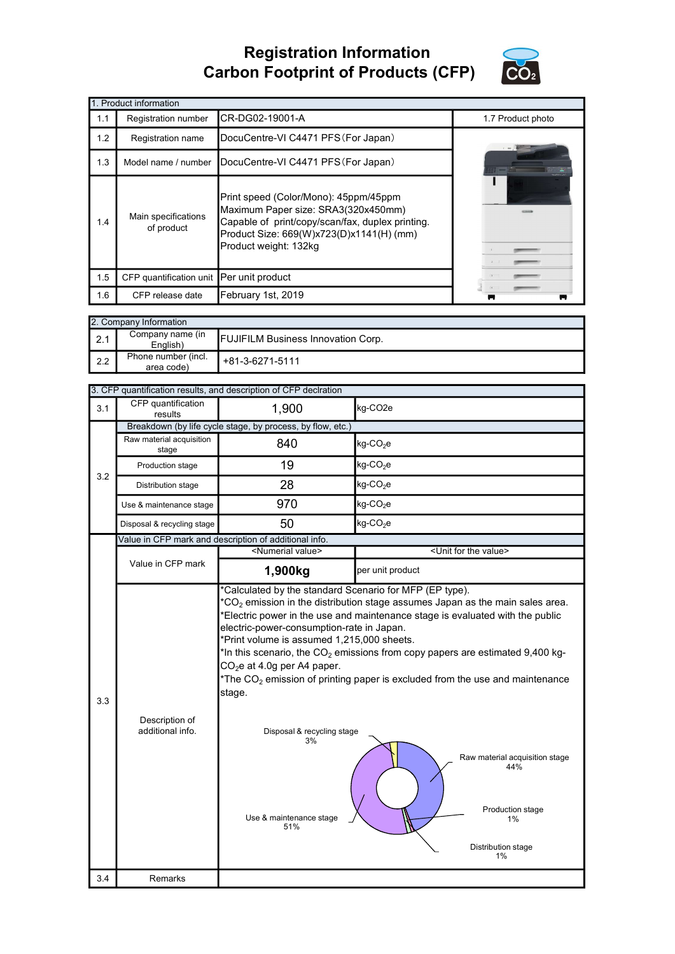## Registration Information Carbon Footprint of Products (CFP)



|                                          | 1. Product information                   |                                                                                                                                                                                                       |                   |
|------------------------------------------|------------------------------------------|-------------------------------------------------------------------------------------------------------------------------------------------------------------------------------------------------------|-------------------|
| 1.1                                      | Registration number                      | CR-DG02-19001-A                                                                                                                                                                                       | 1.7 Product photo |
| 1.2                                      | Registration name                        |                                                                                                                                                                                                       |                   |
| 1.3                                      | Model name / number                      | DocuCentre-VI C4471 PFS (For Japan)                                                                                                                                                                   |                   |
| Main specifications<br>1.4<br>of product |                                          | Print speed (Color/Mono): 45ppm/45ppm<br>Maximum Paper size: SRA3(320x450mm)<br>Capable of print/copy/scan/fax, duplex printing.<br>Product Size: 669(W)x723(D)x1141(H) (mm)<br>Product weight: 132kg |                   |
| 1.5                                      | CFP quantification unit Per unit product |                                                                                                                                                                                                       |                   |
| 1.6                                      | CFP release date                         | February 1st, 2019                                                                                                                                                                                    |                   |

|                  | 2. Company Information            |                                           |  |  |  |  |
|------------------|-----------------------------------|-------------------------------------------|--|--|--|--|
| $\vert$ 2.1      | Company name (in<br>English)      | <b>FUJIFILM Business Innovation Corp.</b> |  |  |  |  |
| $\mathsf{I}$ 2.2 | Phone number (incl.<br>area code) | +81-3-6271-5111                           |  |  |  |  |

|     | 3. CFP quantification results, and description of CFP declration                                                                                                                                                                                                                                                                                                                                                   |                                                            |                                                                                                                                                                                                                                                                                                                         |  |  |  |  |
|-----|--------------------------------------------------------------------------------------------------------------------------------------------------------------------------------------------------------------------------------------------------------------------------------------------------------------------------------------------------------------------------------------------------------------------|------------------------------------------------------------|-------------------------------------------------------------------------------------------------------------------------------------------------------------------------------------------------------------------------------------------------------------------------------------------------------------------------|--|--|--|--|
| 3.1 | CFP quantification<br>results                                                                                                                                                                                                                                                                                                                                                                                      | 1,900                                                      | kg-CO <sub>2e</sub>                                                                                                                                                                                                                                                                                                     |  |  |  |  |
|     |                                                                                                                                                                                                                                                                                                                                                                                                                    | Breakdown (by life cycle stage, by process, by flow, etc.) |                                                                                                                                                                                                                                                                                                                         |  |  |  |  |
|     | Raw material acquisition<br>stage                                                                                                                                                                                                                                                                                                                                                                                  | 840                                                        | $kg$ -CO <sub>2</sub> e                                                                                                                                                                                                                                                                                                 |  |  |  |  |
| 3.2 | Production stage                                                                                                                                                                                                                                                                                                                                                                                                   | 19                                                         | $kg$ -CO <sub>2</sub> e                                                                                                                                                                                                                                                                                                 |  |  |  |  |
|     | Distribution stage                                                                                                                                                                                                                                                                                                                                                                                                 | 28                                                         | $kg$ -CO <sub>2</sub> e                                                                                                                                                                                                                                                                                                 |  |  |  |  |
|     | Use & maintenance stage                                                                                                                                                                                                                                                                                                                                                                                            | 970                                                        | $kg$ -CO <sub>2</sub> e                                                                                                                                                                                                                                                                                                 |  |  |  |  |
|     | Disposal & recycling stage                                                                                                                                                                                                                                                                                                                                                                                         | 50                                                         | $kg$ -CO <sub>2</sub> e                                                                                                                                                                                                                                                                                                 |  |  |  |  |
|     |                                                                                                                                                                                                                                                                                                                                                                                                                    | Value in CFP mark and description of additional info.      |                                                                                                                                                                                                                                                                                                                         |  |  |  |  |
|     |                                                                                                                                                                                                                                                                                                                                                                                                                    | <numerial value=""></numerial>                             | <unit for="" the="" value=""></unit>                                                                                                                                                                                                                                                                                    |  |  |  |  |
|     | Value in CFP mark                                                                                                                                                                                                                                                                                                                                                                                                  | 1,900kg                                                    | per unit product                                                                                                                                                                                                                                                                                                        |  |  |  |  |
| 3.3 | *Calculated by the standard Scenario for MFP (EP type).<br>${}^{\star}CO_{2}$ emission in the distribution stage assumes Japan as the main sales area.<br>electric-power-consumption-rate in Japan.<br>*Print volume is assumed 1,215,000 sheets.<br>CO <sub>2</sub> e at 4.0g per A4 paper.<br>stage.<br>Description of<br>additional info.<br>Disposal & recycling stage<br>3%<br>Use & maintenance stage<br>51% |                                                            | Electric power in the use and maintenance stage is evaluated with the public<br>*In this scenario, the $CO2$ emissions from copy papers are estimated 9,400 kg-<br>*The $CO2$ emission of printing paper is excluded from the use and maintenance<br>Raw material acquisition stage<br>44%<br>Production stage<br>$1\%$ |  |  |  |  |
|     |                                                                                                                                                                                                                                                                                                                                                                                                                    |                                                            | Distribution stage<br>1%                                                                                                                                                                                                                                                                                                |  |  |  |  |